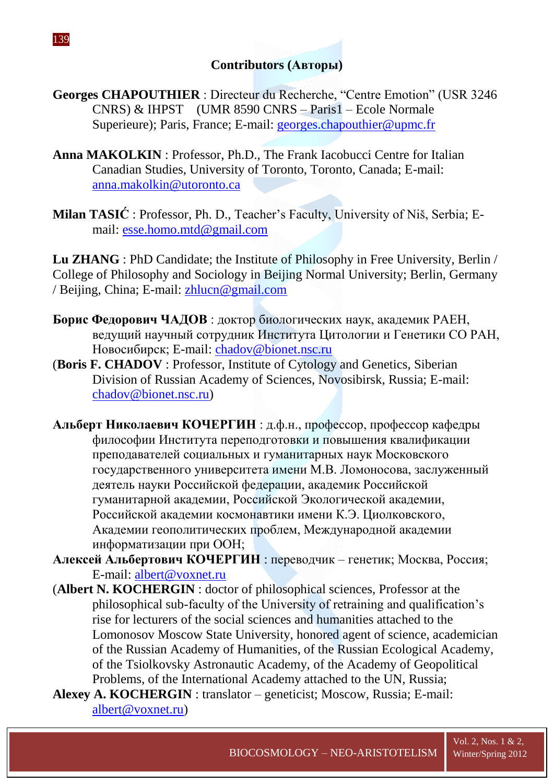- **Georges CHAPOUTHIER** : Directeur du Recherche, "Centre Emotion" (USR 3246 CNRS) & IHPST (UMR 8590 CNRS – Paris1 – Ecole Normale Superieure); Paris, France; E-mail: [georges.chapouthier@upmc.fr](mailto:georges.chapouthier@upmc.fr)
- **Anna MAKOLKIN** : Professor, Ph.D., The Frank Iacobucci Centre for Italian Canadian Studies, University of Toronto, Toronto, Canada; E-mail: [anna.makolkin@utoronto.ca](mailto:anna.makolkin@utoronto.ca)
- **Milan TASIĆ** : Professor, Ph. D., Teacher's Faculty, University of Niš, Serbia; Email: [esse.homo.mtd@gmail.com](mailto:esse.homo.mtd@gmail.com)

**Lu ZHANG** : PhD Candidate; the Institute of Philosophy in Free University, Berlin / College of Philosophy and Sociology in Beijing Normal University; Berlin, Germany / Beijing, China; E-mail: [zhlucn@gmail.com](mailto:zhlucn@gmail.com)

- **Борис Федорович ЧАДОВ** : доктор биологических наук, академик РАЕН, ведущий научный сотрудник Института Цитологии и Генетики СО РАН, Новосибирск; E-mail: [chadov@bionet.nsc.ru](mailto:chadov@bionet.nsc.ru)
- (**Boris F. CHADOV** : Professor, Institute of Cytology and Genetics, Siberian Division of Russian Academy of Sciences, Novosibirsk, Russia; E-mail: [chadov@bionet.nsc.ru\)](mailto:chadov@bionet.nsc.ru)
- **Альберт Николаевич КОЧЕРГИН** : д.ф.н., профессор, профессор кафедры философии Института переподготовки и повышения квалификации преподавателей социальных и гуманитарных наук Московского государственного университета имени М.В. Ломоносова, заслуженный деятель науки Российской федерации, академик Российской гуманитарной академии, Российской Экологической академии, Российской академии космонавтики имени К.Э. Циолковского, Академии геополитических проблем, Международной академии информатизации при ООН;
- **Алексей Альбертович КОЧЕРГИН** : переводчик генетик; Москва, Россия; E-mail: [albert@voxnet.ru](mailto:albert@voxnet.ru)
- (**Albert N. KOCHERGIN** : doctor of philosophical sciences, Professor at the philosophical sub-faculty of the University of retraining and qualification's rise for lecturers of the social sciences and humanities attached to the Lomonosov Moscow State University, honored agent of science, academician of the Russian Academy of Humanities, of the Russian Ecological Academy, of the Tsiolkovsky Astronautic Academy, of the Academy of Geopolitical Problems, of the International Academy attached to the UN, Russia;
- **Alexey A. KOCHERGIN** : translator geneticist; Moscow, Russia; E-mail: [albert@voxnet.ru\)](mailto:albert@voxnet.ru)

139